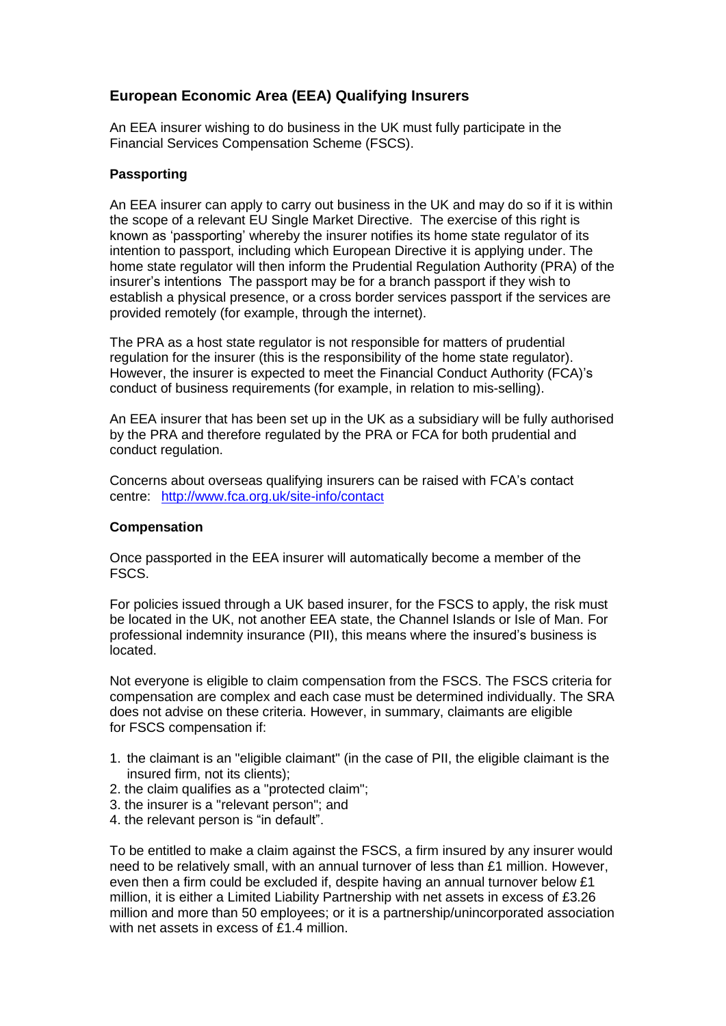## **European Economic Area (EEA) Qualifying Insurers**

An EEA insurer wishing to do business in the UK must fully participate in the Financial Services Compensation Scheme (FSCS).

## **Passporting**

An EEA insurer can apply to carry out business in the UK and may do so if it is within the scope of a relevant EU Single Market Directive. The exercise of this right is known as "passporting" whereby the insurer notifies its home state regulator of its intention to passport, including which European Directive it is applying under. The home state regulator will then inform the Prudential Regulation Authority (PRA) of the insurer"s intentions The passport may be for a branch passport if they wish to establish a physical presence, or a cross border services passport if the services are provided remotely (for example, through the internet).

The PRA as a host state regulator is not responsible for matters of prudential regulation for the insurer (this is the responsibility of the home state regulator). However, the insurer is expected to meet the Financial Conduct Authority (FCA)"s conduct of business requirements (for example, in relation to mis-selling).

An EEA insurer that has been set up in the UK as a subsidiary will be fully authorised by the PRA and therefore regulated by the PRA or FCA for both prudential and conduct regulation.

Concerns about overseas qualifying insurers can be raised with FCA"s contact centre: [http://www.fca.org.uk/site-info/contac](http://www.fca.org.uk/site-info/contact)t

## **Compensation**

Once passported in the EEA insurer will automatically become a member of the FSCS.

For policies issued through a UK based insurer, for the FSCS to apply, the risk must be located in the UK, not another EEA state, the Channel Islands or Isle of Man. For professional indemnity insurance (PII), this means where the insured's business is located.

Not everyone is eligible to claim compensation from the FSCS. The FSCS criteria for compensation are complex and each case must be determined individually. The SRA does not advise on these criteria. However, in summary, claimants are eligible for FSCS compensation if:

- 1. the claimant is an "eligible claimant" (in the case of PII, the eligible claimant is the insured firm, not its clients);
- 2. the claim qualifies as a "protected claim";
- 3. the insurer is a "relevant person"; and
- 4. the relevant person is "in default".

To be entitled to make a claim against the FSCS, a firm insured by any insurer would need to be relatively small, with an annual turnover of less than £1 million. However, even then a firm could be excluded if, despite having an annual turnover below £1 million, it is either a Limited Liability Partnership with net assets in excess of £3.26 million and more than 50 employees; or it is a partnership/unincorporated association with net assets in excess of £1.4 million.